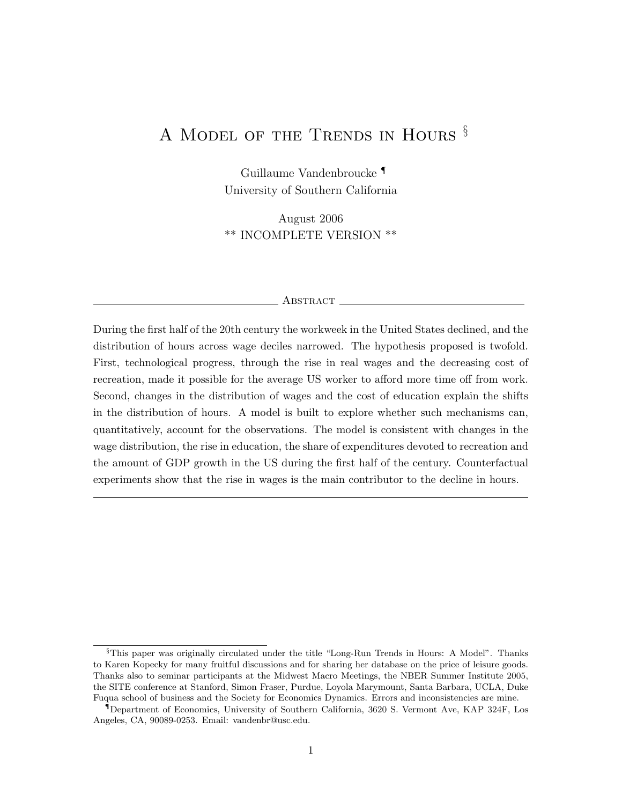# A MODEL OF THE TRENDS IN HOURS  $\S$

Guillaume Vandenbroucke ¶ University of Southern California

August 2006 \*\* INCOMPLETE VERSION \*\*

#### ABSTRACT\_

During the first half of the 20th century the workweek in the United States declined, and the distribution of hours across wage deciles narrowed. The hypothesis proposed is twofold. First, technological progress, through the rise in real wages and the decreasing cost of recreation, made it possible for the average US worker to afford more time off from work. Second, changes in the distribution of wages and the cost of education explain the shifts in the distribution of hours. A model is built to explore whether such mechanisms can, quantitatively, account for the observations. The model is consistent with changes in the wage distribution, the rise in education, the share of expenditures devoted to recreation and the amount of GDP growth in the US during the first half of the century. Counterfactual experiments show that the rise in wages is the main contributor to the decline in hours.

<sup>§</sup>This paper was originally circulated under the title "Long-Run Trends in Hours: A Model". Thanks to Karen Kopecky for many fruitful discussions and for sharing her database on the price of leisure goods. Thanks also to seminar participants at the Midwest Macro Meetings, the NBER Summer Institute 2005, the SITE conference at Stanford, Simon Fraser, Purdue, Loyola Marymount, Santa Barbara, UCLA, Duke Fuqua school of business and the Society for Economics Dynamics. Errors and inconsistencies are mine.

<sup>¶</sup>Department of Economics, University of Southern California, 3620 S. Vermont Ave, KAP 324F, Los Angeles, CA, 90089-0253. Email: vandenbr@usc.edu.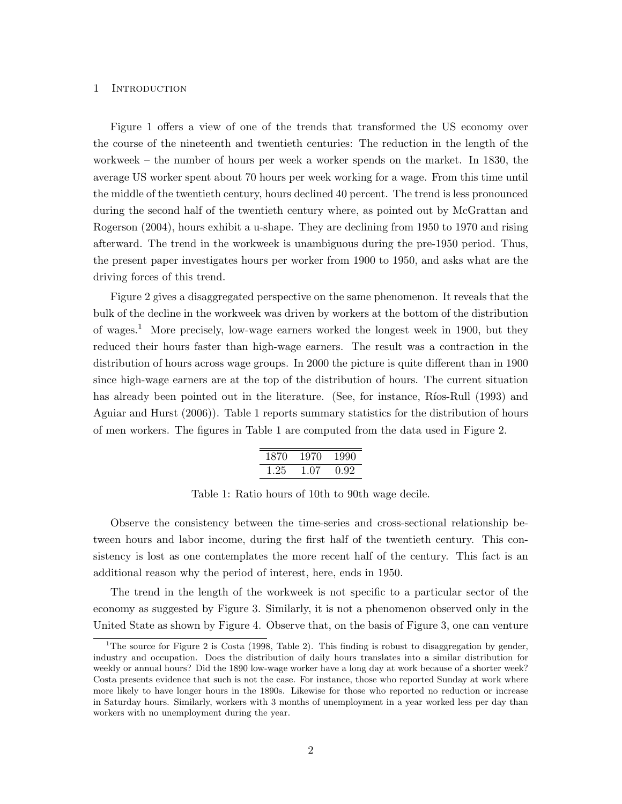# 1 INTRODUCTION

Figure 1 offers a view of one of the trends that transformed the US economy over the course of the nineteenth and twentieth centuries: The reduction in the length of the workweek – the number of hours per week a worker spends on the market. In 1830, the average US worker spent about 70 hours per week working for a wage. From this time until the middle of the twentieth century, hours declined 40 percent. The trend is less pronounced during the second half of the twentieth century where, as pointed out by McGrattan and Rogerson (2004), hours exhibit a u-shape. They are declining from 1950 to 1970 and rising afterward. The trend in the workweek is unambiguous during the pre-1950 period. Thus, the present paper investigates hours per worker from 1900 to 1950, and asks what are the driving forces of this trend.

Figure 2 gives a disaggregated perspective on the same phenomenon. It reveals that the bulk of the decline in the workweek was driven by workers at the bottom of the distribution of wages.<sup>1</sup> More precisely, low-wage earners worked the longest week in 1900, but they reduced their hours faster than high-wage earners. The result was a contraction in the distribution of hours across wage groups. In 2000 the picture is quite different than in 1900 since high-wage earners are at the top of the distribution of hours. The current situation has already been pointed out in the literature. (See, for instance, Ríos-Rull (1993) and Aguiar and Hurst (2006)). Table 1 reports summary statistics for the distribution of hours of men workers. The figures in Table 1 are computed from the data used in Figure 2.

| 1870 | 1970 | 1990 |
|------|------|------|
| 1.25 | 1.07 | 0.92 |

Table 1: Ratio hours of 10th to 90th wage decile.

Observe the consistency between the time-series and cross-sectional relationship between hours and labor income, during the first half of the twentieth century. This consistency is lost as one contemplates the more recent half of the century. This fact is an additional reason why the period of interest, here, ends in 1950.

The trend in the length of the workweek is not specific to a particular sector of the economy as suggested by Figure 3. Similarly, it is not a phenomenon observed only in the United State as shown by Figure 4. Observe that, on the basis of Figure 3, one can venture

<sup>&</sup>lt;sup>1</sup>The source for Figure 2 is Costa (1998, Table 2). This finding is robust to disaggregation by gender, industry and occupation. Does the distribution of daily hours translates into a similar distribution for weekly or annual hours? Did the 1890 low-wage worker have a long day at work because of a shorter week? Costa presents evidence that such is not the case. For instance, those who reported Sunday at work where more likely to have longer hours in the 1890s. Likewise for those who reported no reduction or increase in Saturday hours. Similarly, workers with 3 months of unemployment in a year worked less per day than workers with no unemployment during the year.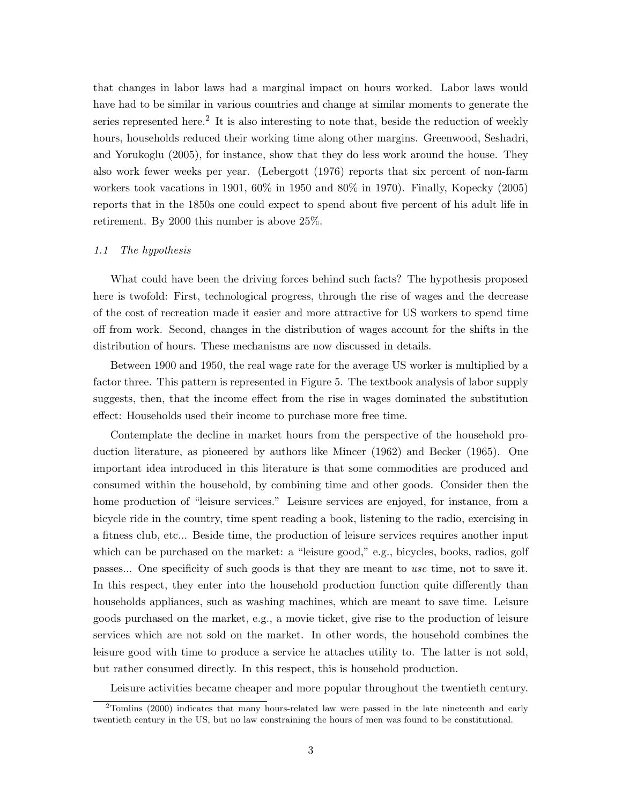that changes in labor laws had a marginal impact on hours worked. Labor laws would have had to be similar in various countries and change at similar moments to generate the series represented here.<sup>2</sup> It is also interesting to note that, beside the reduction of weekly hours, households reduced their working time along other margins. Greenwood, Seshadri, and Yorukoglu (2005), for instance, show that they do less work around the house. They also work fewer weeks per year. (Lebergott (1976) reports that six percent of non-farm workers took vacations in 1901, 60% in 1950 and 80% in 1970). Finally, Kopecky (2005) reports that in the 1850s one could expect to spend about five percent of his adult life in retirement. By 2000 this number is above 25%.

#### 1.1 The hypothesis

What could have been the driving forces behind such facts? The hypothesis proposed here is twofold: First, technological progress, through the rise of wages and the decrease of the cost of recreation made it easier and more attractive for US workers to spend time off from work. Second, changes in the distribution of wages account for the shifts in the distribution of hours. These mechanisms are now discussed in details.

Between 1900 and 1950, the real wage rate for the average US worker is multiplied by a factor three. This pattern is represented in Figure 5. The textbook analysis of labor supply suggests, then, that the income effect from the rise in wages dominated the substitution effect: Households used their income to purchase more free time.

Contemplate the decline in market hours from the perspective of the household production literature, as pioneered by authors like Mincer (1962) and Becker (1965). One important idea introduced in this literature is that some commodities are produced and consumed within the household, by combining time and other goods. Consider then the home production of "leisure services." Leisure services are enjoyed, for instance, from a bicycle ride in the country, time spent reading a book, listening to the radio, exercising in a fitness club, etc... Beside time, the production of leisure services requires another input which can be purchased on the market: a "leisure good," e.g., bicycles, books, radios, golf passes... One specificity of such goods is that they are meant to use time, not to save it. In this respect, they enter into the household production function quite differently than households appliances, such as washing machines, which are meant to save time. Leisure goods purchased on the market, e.g., a movie ticket, give rise to the production of leisure services which are not sold on the market. In other words, the household combines the leisure good with time to produce a service he attaches utility to. The latter is not sold, but rather consumed directly. In this respect, this is household production.

Leisure activities became cheaper and more popular throughout the twentieth century.

<sup>&</sup>lt;sup>2</sup>Tomlins (2000) indicates that many hours-related law were passed in the late nineteenth and early twentieth century in the US, but no law constraining the hours of men was found to be constitutional.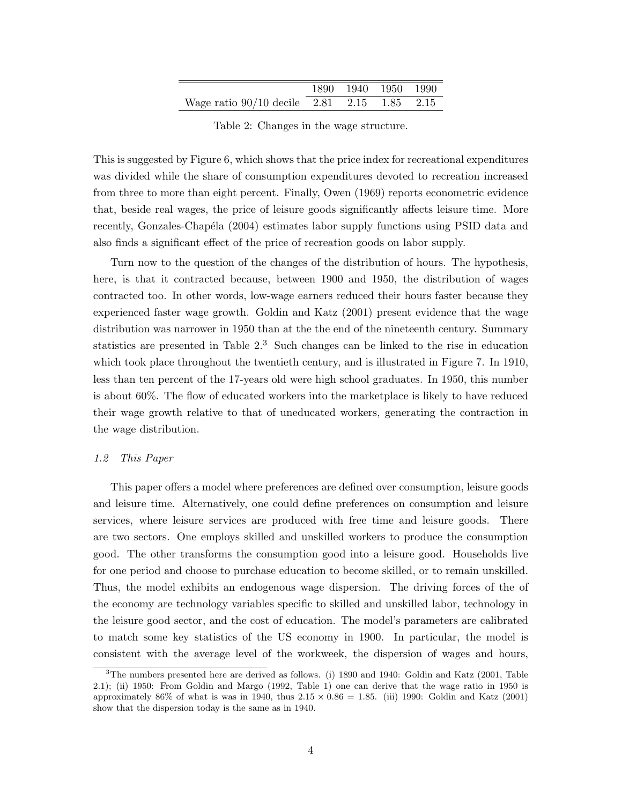|                                             | 1890 1940 1950 1990 |  |
|---------------------------------------------|---------------------|--|
| Wage ratio 90/10 decile 2.81 2.15 1.85 2.15 |                     |  |

Table 2: Changes in the wage structure.

This is suggested by Figure 6, which shows that the price index for recreational expenditures was divided while the share of consumption expenditures devoted to recreation increased from three to more than eight percent. Finally, Owen (1969) reports econometric evidence that, beside real wages, the price of leisure goods significantly affects leisure time. More recently, Gonzales-Chapéla (2004) estimates labor supply functions using PSID data and also finds a significant effect of the price of recreation goods on labor supply.

Turn now to the question of the changes of the distribution of hours. The hypothesis, here, is that it contracted because, between 1900 and 1950, the distribution of wages contracted too. In other words, low-wage earners reduced their hours faster because they experienced faster wage growth. Goldin and Katz (2001) present evidence that the wage distribution was narrower in 1950 than at the the end of the nineteenth century. Summary statistics are presented in Table  $2<sup>3</sup>$  Such changes can be linked to the rise in education which took place throughout the twentieth century, and is illustrated in Figure 7. In 1910, less than ten percent of the 17-years old were high school graduates. In 1950, this number is about 60%. The flow of educated workers into the marketplace is likely to have reduced their wage growth relative to that of uneducated workers, generating the contraction in the wage distribution.

### 1.2 This Paper

This paper offers a model where preferences are defined over consumption, leisure goods and leisure time. Alternatively, one could define preferences on consumption and leisure services, where leisure services are produced with free time and leisure goods. There are two sectors. One employs skilled and unskilled workers to produce the consumption good. The other transforms the consumption good into a leisure good. Households live for one period and choose to purchase education to become skilled, or to remain unskilled. Thus, the model exhibits an endogenous wage dispersion. The driving forces of the of the economy are technology variables specific to skilled and unskilled labor, technology in the leisure good sector, and the cost of education. The model's parameters are calibrated to match some key statistics of the US economy in 1900. In particular, the model is consistent with the average level of the workweek, the dispersion of wages and hours,

<sup>3</sup>The numbers presented here are derived as follows. (i) 1890 and 1940: Goldin and Katz (2001, Table 2.1); (ii) 1950: From Goldin and Margo (1992, Table 1) one can derive that the wage ratio in 1950 is approximately 86% of what is was in 1940, thus  $2.15 \times 0.86 = 1.85$ . (iii) 1990: Goldin and Katz (2001) show that the dispersion today is the same as in 1940.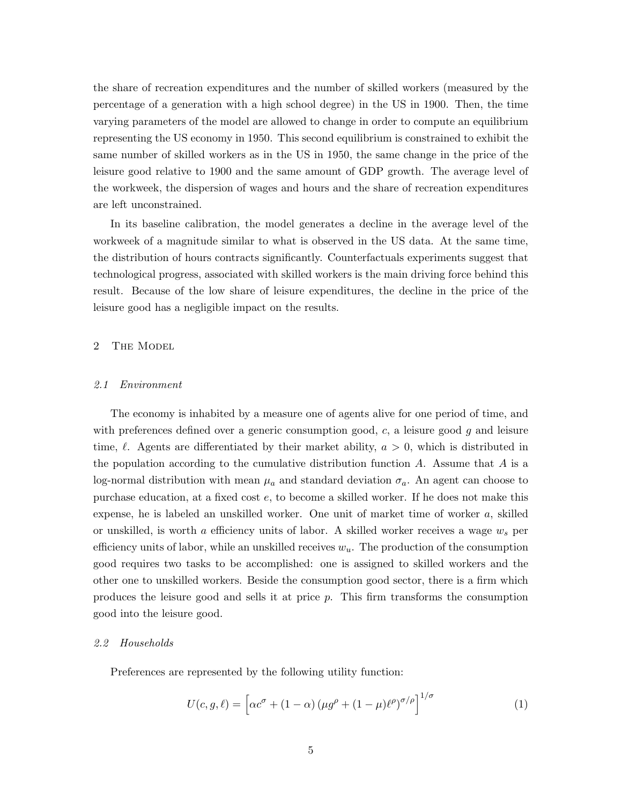the share of recreation expenditures and the number of skilled workers (measured by the percentage of a generation with a high school degree) in the US in 1900. Then, the time varying parameters of the model are allowed to change in order to compute an equilibrium representing the US economy in 1950. This second equilibrium is constrained to exhibit the same number of skilled workers as in the US in 1950, the same change in the price of the leisure good relative to 1900 and the same amount of GDP growth. The average level of the workweek, the dispersion of wages and hours and the share of recreation expenditures are left unconstrained.

In its baseline calibration, the model generates a decline in the average level of the workweek of a magnitude similar to what is observed in the US data. At the same time, the distribution of hours contracts significantly. Counterfactuals experiments suggest that technological progress, associated with skilled workers is the main driving force behind this result. Because of the low share of leisure expenditures, the decline in the price of the leisure good has a negligible impact on the results.

# 2 The Model

## 2.1 Environment

The economy is inhabited by a measure one of agents alive for one period of time, and with preferences defined over a generic consumption good,  $c$ , a leisure good  $g$  and leisure time,  $\ell$ . Agents are differentiated by their market ability,  $a > 0$ , which is distributed in the population according to the cumulative distribution function  $A$ . Assume that  $A$  is a log-normal distribution with mean  $\mu_a$  and standard deviation  $\sigma_a$ . An agent can choose to purchase education, at a fixed cost e, to become a skilled worker. If he does not make this expense, he is labeled an unskilled worker. One unit of market time of worker a, skilled or unskilled, is worth a efficiency units of labor. A skilled worker receives a wage  $w_s$  per efficiency units of labor, while an unskilled receives  $w_u$ . The production of the consumption good requires two tasks to be accomplished: one is assigned to skilled workers and the other one to unskilled workers. Beside the consumption good sector, there is a firm which produces the leisure good and sells it at price p. This firm transforms the consumption good into the leisure good.

#### 2.2 Households

Preferences are represented by the following utility function:

$$
U(c, g, \ell) = \left[ \alpha c^{\sigma} + (1 - \alpha) \left( \mu g^{\rho} + (1 - \mu) \ell^{\rho} \right)^{\sigma/\rho} \right]^{1/\sigma}
$$
 (1)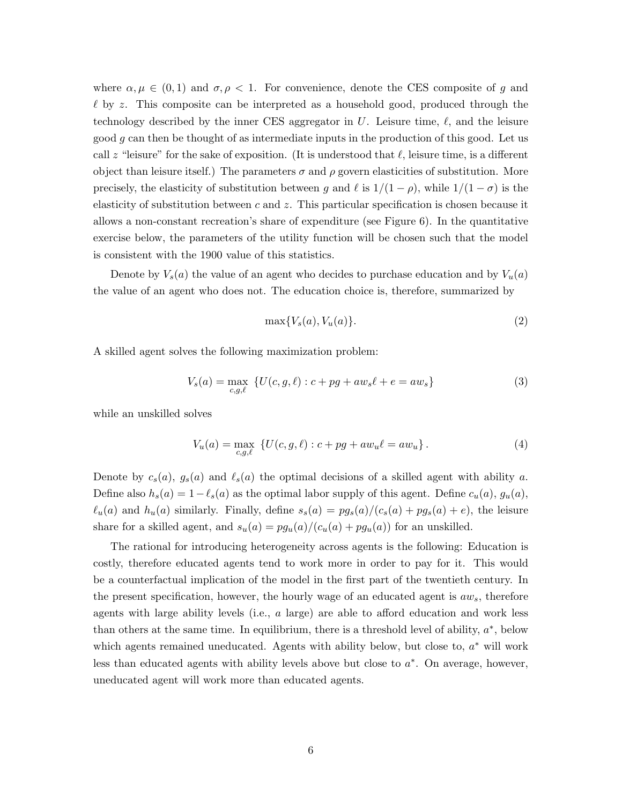where  $\alpha, \mu \in (0,1)$  and  $\sigma, \rho < 1$ . For convenience, denote the CES composite of g and  $\ell$  by z. This composite can be interpreted as a household good, produced through the technology described by the inner CES aggregator in U. Leisure time,  $\ell$ , and the leisure good g can then be thought of as intermediate inputs in the production of this good. Let us call z "leisure" for the sake of exposition. (It is understood that  $\ell$ , leisure time, is a different object than leisure itself.) The parameters  $\sigma$  and  $\rho$  govern elasticities of substitution. More precisely, the elasticity of substitution between g and  $\ell$  is  $1/(1 - \rho)$ , while  $1/(1 - \sigma)$  is the elasticity of substitution between  $c$  and  $z$ . This particular specification is chosen because it allows a non-constant recreation's share of expenditure (see Figure 6). In the quantitative exercise below, the parameters of the utility function will be chosen such that the model is consistent with the 1900 value of this statistics.

Denote by  $V_s(a)$  the value of an agent who decides to purchase education and by  $V_u(a)$ the value of an agent who does not. The education choice is, therefore, summarized by

$$
\max\{V_s(a), V_u(a)\}.\tag{2}
$$

A skilled agent solves the following maximization problem:

$$
V_s(a) = \max_{c,g,\ell} \{ U(c,g,\ell) : c + pg + aw_s\ell + e = aw_s \}
$$
 (3)

while an unskilled solves

$$
V_u(a) = \max_{c,g,\ell} \{ U(c,g,\ell) : c + pg + aw_u \ell = aw_u \}.
$$
 (4)

Denote by  $c_s(a)$ ,  $g_s(a)$  and  $\ell_s(a)$  the optimal decisions of a skilled agent with ability a. Define also  $h_s(a) = 1 - \ell_s(a)$  as the optimal labor supply of this agent. Define  $c_u(a)$ ,  $g_u(a)$ ,  $\ell_u(a)$  and  $h_u(a)$  similarly. Finally, define  $s_s(a) = pg_s(a)/(c_s(a) + pg_s(a) + e)$ , the leisure share for a skilled agent, and  $s_u(a) = pg_u(a)/(c_u(a) + pg_u(a))$  for an unskilled.

The rational for introducing heterogeneity across agents is the following: Education is costly, therefore educated agents tend to work more in order to pay for it. This would be a counterfactual implication of the model in the first part of the twentieth century. In the present specification, however, the hourly wage of an educated agent is  $aw_s$ , therefore agents with large ability levels (i.e.,  $a$  large) are able to afford education and work less than others at the same time. In equilibrium, there is a threshold level of ability,  $a^*$ , below which agents remained uneducated. Agents with ability below, but close to,  $a^*$  will work less than educated agents with ability levels above but close to  $a^*$ . On average, however, uneducated agent will work more than educated agents.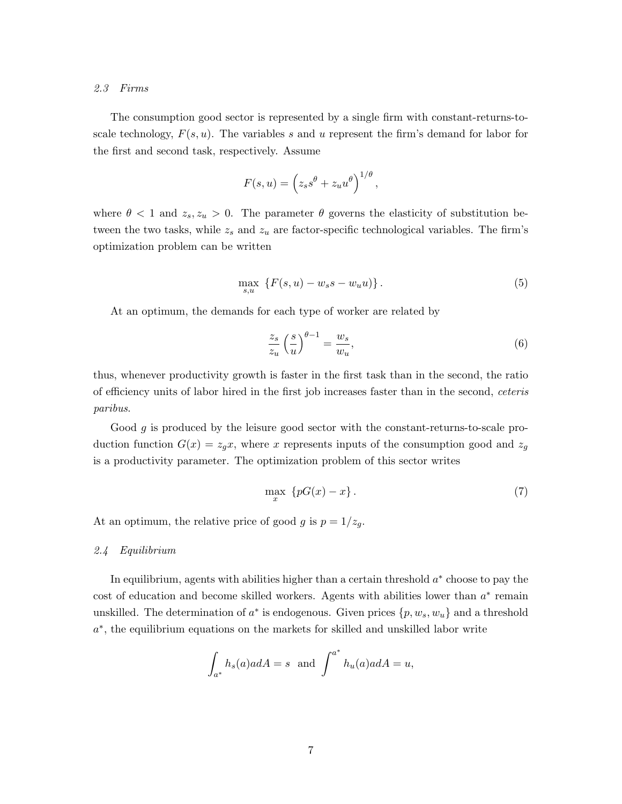# 2.3 Firms

The consumption good sector is represented by a single firm with constant-returns-toscale technology,  $F(s, u)$ . The variables s and u represent the firm's demand for labor for the first and second task, respectively. Assume

$$
F(s, u) = \left(z_s s^{\theta} + z_u u^{\theta}\right)^{1/\theta},
$$

where  $\theta < 1$  and  $z_s, z_u > 0$ . The parameter  $\theta$  governs the elasticity of substitution between the two tasks, while  $z_s$  and  $z_u$  are factor-specific technological variables. The firm's optimization problem can be written

$$
\max_{s,u} \{ F(s, u) - w_s s - w_u u) \}.
$$
 (5)

At an optimum, the demands for each type of worker are related by

$$
\frac{z_s}{z_u} \left(\frac{s}{u}\right)^{\theta - 1} = \frac{w_s}{w_u},\tag{6}
$$

thus, whenever productivity growth is faster in the first task than in the second, the ratio of efficiency units of labor hired in the first job increases faster than in the second, ceteris paribus.

Good  $g$  is produced by the leisure good sector with the constant-returns-to-scale production function  $G(x) = z_g x$ , where x represents inputs of the consumption good and  $z_g$ is a productivity parameter. The optimization problem of this sector writes

$$
\max_{x} \{pG(x) - x\}.
$$
\n<sup>(7)</sup>

At an optimum, the relative price of good g is  $p = 1/z_g$ .

2.4 Equilibrium

In equilibrium, agents with abilities higher than a certain threshold  $a^*$  choose to pay the cost of education and become skilled workers. Agents with abilities lower than  $a^*$  remain unskilled. The determination of  $a^*$  is endogenous. Given prices  $\{p, w_s, w_u\}$  and a threshold a<sup>\*</sup>, the equilibrium equations on the markets for skilled and unskilled labor write

$$
\int_{a^*} h_s(a)adA = s \text{ and } \int^{a^*} h_u(a)adA = u,
$$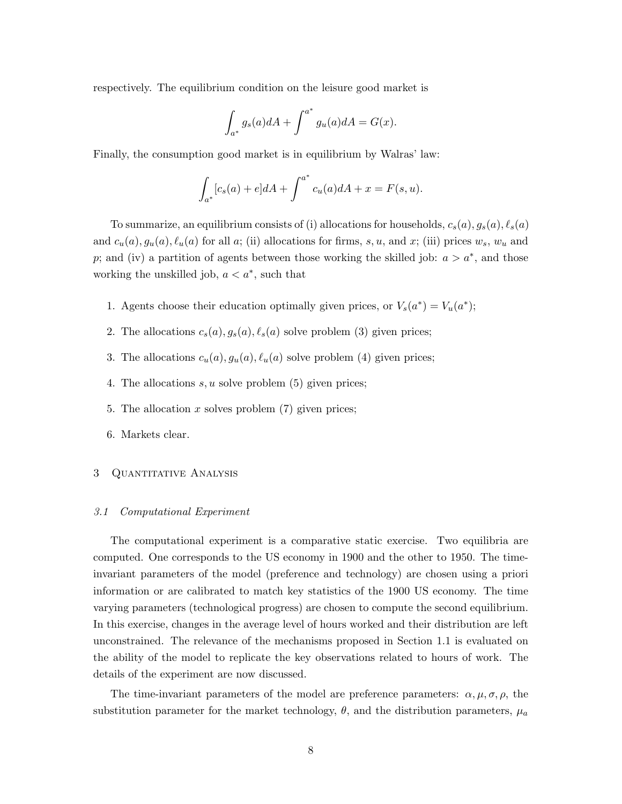respectively. The equilibrium condition on the leisure good market is

$$
\int_{a^*} g_s(a)dA + \int^{a^*} g_u(a)dA = G(x).
$$

Finally, the consumption good market is in equilibrium by Walras' law:

$$
\int_{a^*} [c_s(a) + e] dA + \int^{a^*} c_u(a) dA + x = F(s, u).
$$

To summarize, an equilibrium consists of (i) allocations for households,  $c_s(a)$ ,  $g_s(a)$ ,  $\ell_s(a)$ and  $c_u(a)$ ,  $g_u(a)$ ,  $\ell_u(a)$  for all a; (ii) allocations for firms, s, u, and x; (iii) prices  $w_s$ ,  $w_u$  and p; and (iv) a partition of agents between those working the skilled job:  $a > a^*$ , and those working the unskilled job,  $a < a^*$ , such that

- 1. Agents choose their education optimally given prices, or  $V_s(a^*) = V_u(a^*)$ ;
- 2. The allocations  $c_s(a)$ ,  $g_s(a)$ ,  $\ell_s(a)$  solve problem (3) given prices;
- 3. The allocations  $c_u(a), g_u(a), \ell_u(a)$  solve problem (4) given prices;
- 4. The allocations  $s, u$  solve problem  $(5)$  given prices;
- 5. The allocation x solves problem  $(7)$  given prices;
- 6. Markets clear.

### 3 Quantitative Analysis

### 3.1 Computational Experiment

The computational experiment is a comparative static exercise. Two equilibria are computed. One corresponds to the US economy in 1900 and the other to 1950. The timeinvariant parameters of the model (preference and technology) are chosen using a priori information or are calibrated to match key statistics of the 1900 US economy. The time varying parameters (technological progress) are chosen to compute the second equilibrium. In this exercise, changes in the average level of hours worked and their distribution are left unconstrained. The relevance of the mechanisms proposed in Section 1.1 is evaluated on the ability of the model to replicate the key observations related to hours of work. The details of the experiment are now discussed.

The time-invariant parameters of the model are preference parameters:  $\alpha, \mu, \sigma, \rho$ , the substitution parameter for the market technology,  $\theta$ , and the distribution parameters,  $\mu_a$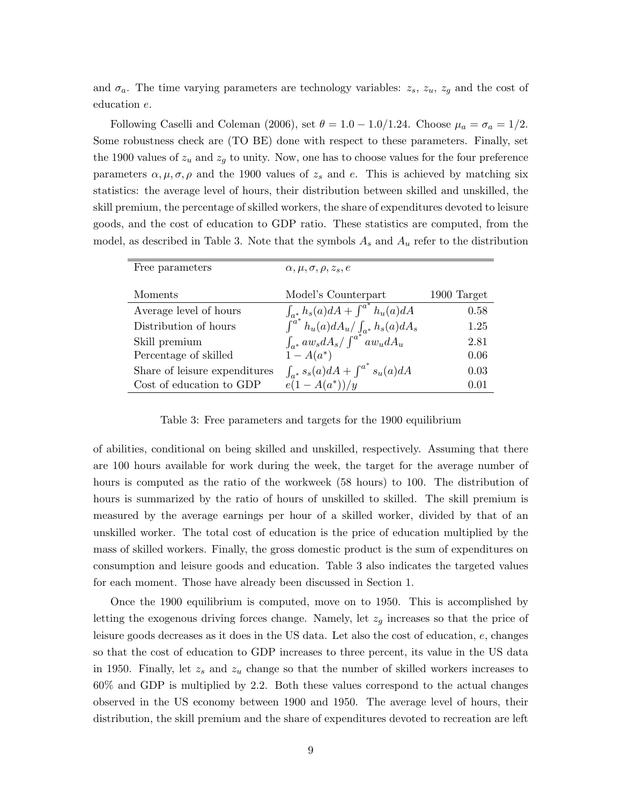and  $\sigma_a$ . The time varying parameters are technology variables:  $z_s$ ,  $z_u$ ,  $z_g$  and the cost of education e.

Following Caselli and Coleman (2006), set  $\theta = 1.0 - 1.0/1.24$ . Choose  $\mu_a = \sigma_a = 1/2$ . Some robustness check are (TO BE) done with respect to these parameters. Finally, set the 1900 values of  $z_u$  and  $z_g$  to unity. Now, one has to choose values for the four preference parameters  $\alpha, \mu, \sigma, \rho$  and the 1900 values of  $z_s$  and e. This is achieved by matching six statistics: the average level of hours, their distribution between skilled and unskilled, the skill premium, the percentage of skilled workers, the share of expenditures devoted to leisure goods, and the cost of education to GDP ratio. These statistics are computed, from the model, as described in Table 3. Note that the symbols  $A_s$  and  $A_u$  refer to the distribution

| Free parameters               | $\alpha, \mu, \sigma, \rho, z_s, e$                                                          |             |
|-------------------------------|----------------------------------------------------------------------------------------------|-------------|
| Moments                       | Model's Counterpart                                                                          | 1900 Target |
| Average level of hours        | $\int_{a^*} h_s(a) dA + \int^{a^*} h_u(a) dA$                                                | 0.58        |
| Distribution of hours         | $\int_{a^*}^{a^*}h_u(a)dA_u/\int_{a^*}h_s(a)dA_s$<br>$\int_{a^*}aw_sdA_s/\int^{a^*}aw_udA_u$ | 1.25        |
| Skill premium                 |                                                                                              | 2.81        |
| Percentage of skilled         | $1 - A(a^*)$                                                                                 | 0.06        |
| Share of leisure expenditures | $\int_{a^*} s_s(a) dA + \int^{a^*} s_u(a) dA$                                                | 0.03        |
| Cost of education to GDP      | $e(1-A(a^*))/y$                                                                              | 0.01        |

Table 3: Free parameters and targets for the 1900 equilibrium

of abilities, conditional on being skilled and unskilled, respectively. Assuming that there are 100 hours available for work during the week, the target for the average number of hours is computed as the ratio of the workweek (58 hours) to 100. The distribution of hours is summarized by the ratio of hours of unskilled to skilled. The skill premium is measured by the average earnings per hour of a skilled worker, divided by that of an unskilled worker. The total cost of education is the price of education multiplied by the mass of skilled workers. Finally, the gross domestic product is the sum of expenditures on consumption and leisure goods and education. Table 3 also indicates the targeted values for each moment. Those have already been discussed in Section 1.

Once the 1900 equilibrium is computed, move on to 1950. This is accomplished by letting the exogenous driving forces change. Namely, let  $z<sub>g</sub>$  increases so that the price of leisure goods decreases as it does in the US data. Let also the cost of education, e, changes so that the cost of education to GDP increases to three percent, its value in the US data in 1950. Finally, let  $z_s$  and  $z_u$  change so that the number of skilled workers increases to 60% and GDP is multiplied by 2.2. Both these values correspond to the actual changes observed in the US economy between 1900 and 1950. The average level of hours, their distribution, the skill premium and the share of expenditures devoted to recreation are left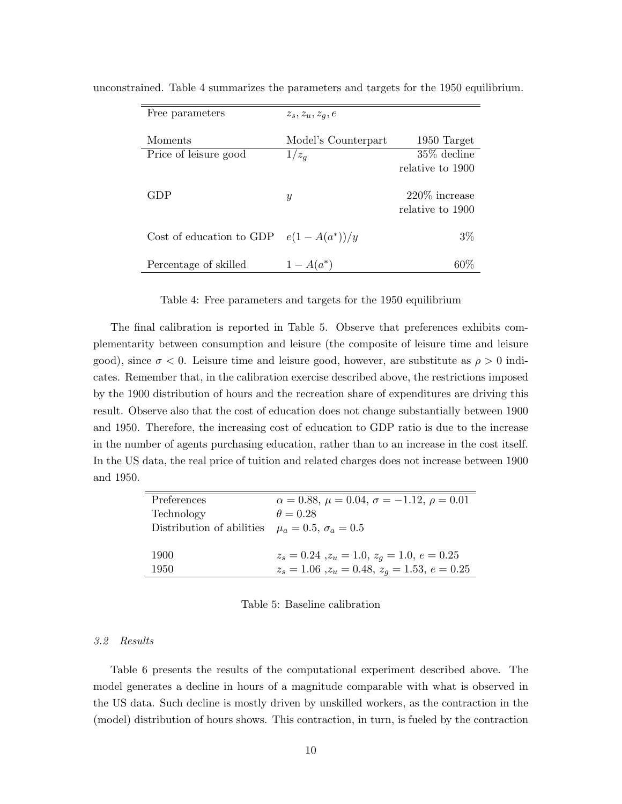| Free parameters          | $z_s, z_u, z_q, e$  |                                      |
|--------------------------|---------------------|--------------------------------------|
| Moments                  | Model's Counterpart | 1950 Target                          |
| Price of leisure good    | $1/z_g$             | $35\%$ decline                       |
|                          |                     | relative to 1900                     |
| GDP                      | $\boldsymbol{y}$    | $220\%$ increase<br>relative to 1900 |
| Cost of education to GDP | $e(1-A(a^*))/y$     | $3\%$                                |
| Percentage of skilled    | $1 - A(a^*)$        | $60\%$                               |

unconstrained. Table 4 summarizes the parameters and targets for the 1950 equilibrium.

# Table 4: Free parameters and targets for the 1950 equilibrium

The final calibration is reported in Table 5. Observe that preferences exhibits complementarity between consumption and leisure (the composite of leisure time and leisure good), since  $\sigma < 0$ . Leisure time and leisure good, however, are substitute as  $\rho > 0$  indicates. Remember that, in the calibration exercise described above, the restrictions imposed by the 1900 distribution of hours and the recreation share of expenditures are driving this result. Observe also that the cost of education does not change substantially between 1900 and 1950. Therefore, the increasing cost of education to GDP ratio is due to the increase in the number of agents purchasing education, rather than to an increase in the cost itself. In the US data, the real price of tuition and related charges does not increase between 1900 and 1950.

| Preferences               | $\alpha = 0.88, \mu = 0.04, \sigma = -1.12, \rho = 0.01$ |
|---------------------------|----------------------------------------------------------|
| Technology                | $\theta = 0.28$                                          |
| Distribution of abilities | $\mu_a = 0.5, \sigma_a = 0.5$                            |
|                           |                                                          |
| 1900                      | $z_s = 0.24$ , $z_u = 1.0$ , $z_q = 1.0$ , $e = 0.25$    |
| 1950                      | $z_s = 1.06$ , $z_u = 0.48$ , $z_q = 1.53$ , $e = 0.25$  |
|                           |                                                          |

#### Table 5: Baseline calibration

# 3.2 Results

Table 6 presents the results of the computational experiment described above. The model generates a decline in hours of a magnitude comparable with what is observed in the US data. Such decline is mostly driven by unskilled workers, as the contraction in the (model) distribution of hours shows. This contraction, in turn, is fueled by the contraction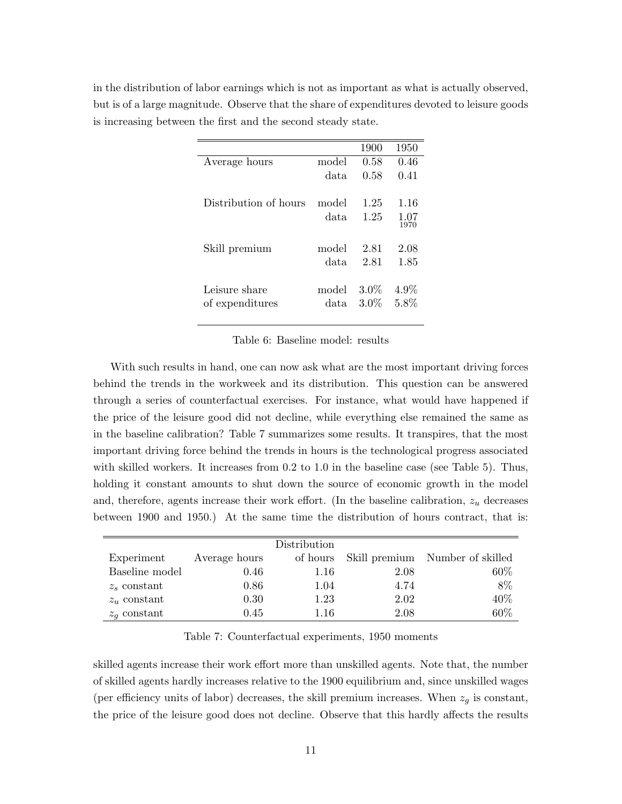| in the distribution of labor earnings which is not as important as what is actually observed, |
|-----------------------------------------------------------------------------------------------|
| but is of a large magnitude. Observe that the share of expenditures devoted to leisure goods  |
| is increasing between the first and the second steady state.                                  |

|                       |       | 1900    | 1950    |
|-----------------------|-------|---------|---------|
| Average hours         | model | 0.58    | 0.46    |
|                       | data  | 0.58    | 0.41    |
| Distribution of hours | model | 1.25    | 1.16    |
|                       | data  | 1.25    | 1.07    |
|                       |       |         | 1970    |
| Skill premium         | model | 2.81    | 2.08    |
|                       | data. | 2.81    | 1.85    |
| Leisure share         | model | $3.0\%$ | $4.9\%$ |
| of expenditures       | data  | $3.0\%$ | 5.8%    |
|                       |       |         |         |

# Table 6: Baseline model: results

With such results in hand, one can now ask what are the most important driving forces behind the trends in the workweek and its distribution. This question can be answered through a series of counterfactual exercises. For instance, what would have happened if the price of the leisure good did not decline, while everything else remained the same as in the baseline calibration? Table 7 summarizes some results. It transpires, that the most important driving force behind the trends in hours is the technological progress associated with skilled workers. It increases from 0.2 to 1.0 in the baseline case (see Table 5). Thus, holding it constant amounts to shut down the source of economic growth in the model and, therefore, agents increase their work effort. (In the baseline calibration,  $z_u$  decreases between 1900 and 1950.) At the same time the distribution of hours contract, that is:

|                |               | Distribution |      |                                 |
|----------------|---------------|--------------|------|---------------------------------|
| Experiment     | Average hours | of hours     |      | Skill premium Number of skilled |
| Baseline model | 0.46          | 1.16         | 2.08 | 60\%                            |
| $z_s$ constant | 0.86          | 1.04         | 4.74 | 8%                              |
| $z_u$ constant | 0.30          | 1.23         | 2.02 | 40%                             |
| $z_q$ constant | 0.45          | 1.16         | 2.08 | 60%                             |

Table 7: Counterfactual experiments, 1950 moments

skilled agents increase their work effort more than unskilled agents. Note that, the number of skilled agents hardly increases relative to the 1900 equilibrium and, since unskilled wages (per efficiency units of labor) decreases, the skill premium increases. When  $z_g$  is constant, the price of the leisure good does not decline. Observe that this hardly affects the results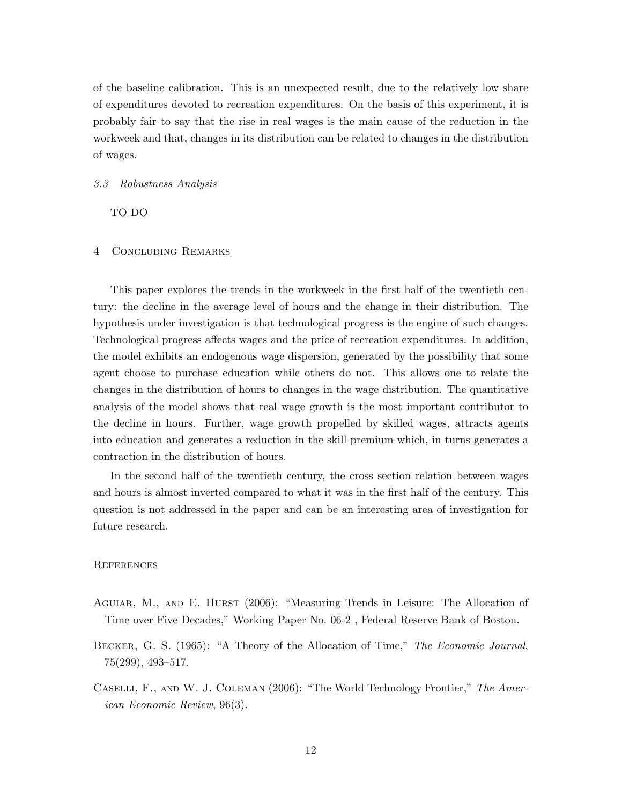of the baseline calibration. This is an unexpected result, due to the relatively low share of expenditures devoted to recreation expenditures. On the basis of this experiment, it is probably fair to say that the rise in real wages is the main cause of the reduction in the workweek and that, changes in its distribution can be related to changes in the distribution of wages.

#### 3.3 Robustness Analysis

TO DO

# 4 Concluding Remarks

This paper explores the trends in the workweek in the first half of the twentieth century: the decline in the average level of hours and the change in their distribution. The hypothesis under investigation is that technological progress is the engine of such changes. Technological progress affects wages and the price of recreation expenditures. In addition, the model exhibits an endogenous wage dispersion, generated by the possibility that some agent choose to purchase education while others do not. This allows one to relate the changes in the distribution of hours to changes in the wage distribution. The quantitative analysis of the model shows that real wage growth is the most important contributor to the decline in hours. Further, wage growth propelled by skilled wages, attracts agents into education and generates a reduction in the skill premium which, in turns generates a contraction in the distribution of hours.

In the second half of the twentieth century, the cross section relation between wages and hours is almost inverted compared to what it was in the first half of the century. This question is not addressed in the paper and can be an interesting area of investigation for future research.

#### **REFERENCES**

- Aguiar, M., and E. Hurst (2006): "Measuring Trends in Leisure: The Allocation of Time over Five Decades," Working Paper No. 06-2 , Federal Reserve Bank of Boston.
- Becker, G. S. (1965): "A Theory of the Allocation of Time," The Economic Journal, 75(299), 493–517.
- Caselli, F., and W. J. Coleman (2006): "The World Technology Frontier," The American Economic Review, 96(3).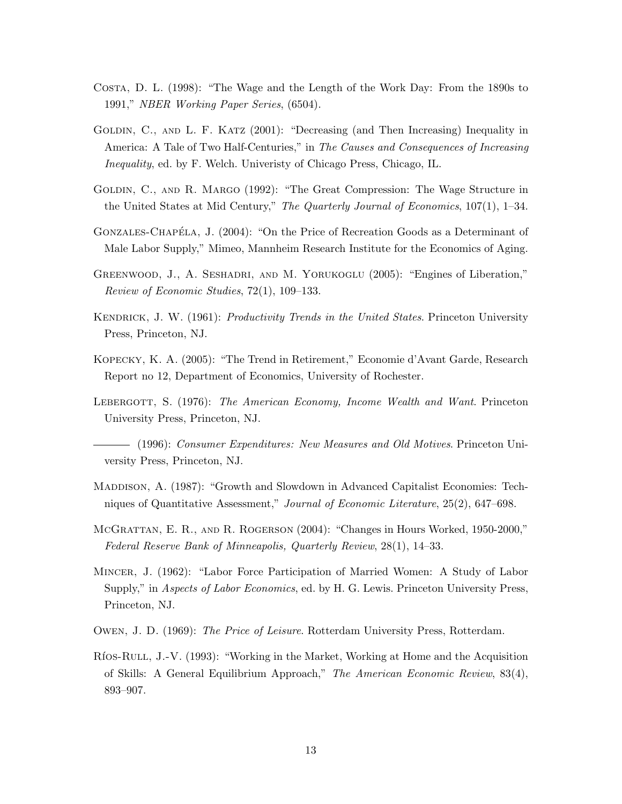- Costa, D. L. (1998): "The Wage and the Length of the Work Day: From the 1890s to 1991," NBER Working Paper Series, (6504).
- GOLDIN, C., AND L. F. KATZ (2001): "Decreasing (and Then Increasing) Inequality in America: A Tale of Two Half-Centuries," in The Causes and Consequences of Increasing Inequality, ed. by F. Welch. Univeristy of Chicago Press, Chicago, IL.
- Goldin, C., and R. Margo (1992): "The Great Compression: The Wage Structure in the United States at Mid Century," The Quarterly Journal of Economics,  $107(1)$ , 1–34.
- GONZALES-CHAPÉLA, J. (2004): "On the Price of Recreation Goods as a Determinant of Male Labor Supply," Mimeo, Mannheim Research Institute for the Economics of Aging.
- GREENWOOD, J., A. SESHADRI, AND M. YORUKOGLU (2005): "Engines of Liberation." Review of Economic Studies, 72(1), 109–133.
- KENDRICK, J. W. (1961): *Productivity Trends in the United States*. Princeton University Press, Princeton, NJ.
- Kopecky, K. A. (2005): "The Trend in Retirement," Economie d'Avant Garde, Research Report no 12, Department of Economics, University of Rochester.
- LEBERGOTT, S. (1976): The American Economy, Income Wealth and Want. Princeton University Press, Princeton, NJ.

(1996): Consumer Expenditures: New Measures and Old Motives. Princeton University Press, Princeton, NJ.

- Maddison, A. (1987): "Growth and Slowdown in Advanced Capitalist Economies: Techniques of Quantitative Assessment," Journal of Economic Literature, 25(2), 647–698.
- McGrattan, E. R., and R. Rogerson (2004): "Changes in Hours Worked, 1950-2000," Federal Reserve Bank of Minneapolis, Quarterly Review, 28(1), 14–33.
- Mincer, J. (1962): "Labor Force Participation of Married Women: A Study of Labor Supply," in *Aspects of Labor Economics*, ed. by H. G. Lewis. Princeton University Press, Princeton, NJ.
- Owen, J. D. (1969): The Price of Leisure. Rotterdam University Press, Rotterdam.
- Ríos-Rull, J.-V. (1993): "Working in the Market, Working at Home and the Acquisition of Skills: A General Equilibrium Approach," The American Economic Review, 83(4), 893–907.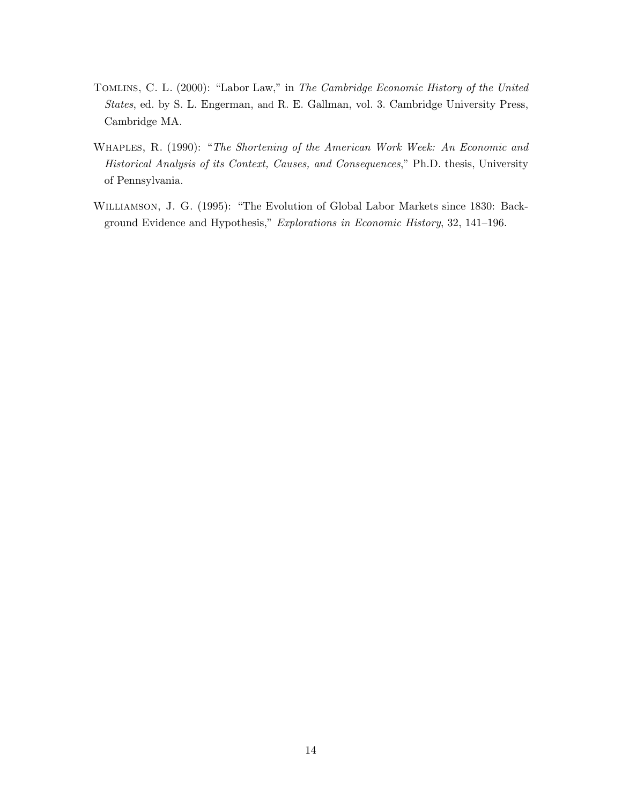- Tomlins, C. L. (2000): "Labor Law," in The Cambridge Economic History of the United States, ed. by S. L. Engerman, and R. E. Gallman, vol. 3. Cambridge University Press, Cambridge MA.
- Whaples, R. (1990): "The Shortening of the American Work Week: An Economic and Historical Analysis of its Context, Causes, and Consequences," Ph.D. thesis, University of Pennsylvania.
- Williamson, J. G. (1995): "The Evolution of Global Labor Markets since 1830: Background Evidence and Hypothesis," Explorations in Economic History, 32, 141–196.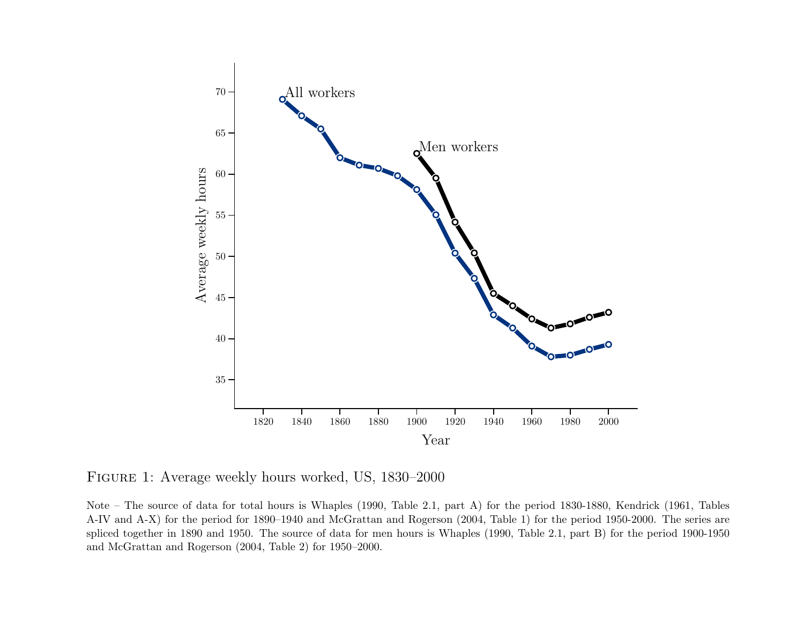

Figure <sup>1</sup>: Average weekly hours worked, US, 1830–2000

Note – The source of data for total hours is Whaples (1990, Table 2.1, part A) for the period 1830-1880, Kendrick (1961, Tables A-IV and A-X) for the period for 1890–1940 and McGrattan and Rogerson (2004, Table 1) for the period 1950-2000. The series are spliced together in <sup>1890</sup> and 1950. The source of data for men hours is Whaples (1990, Table 2.1, part B) for the period 1900-1950and McGrattan and Rogerson (2004, Table 2) for 1950–2000.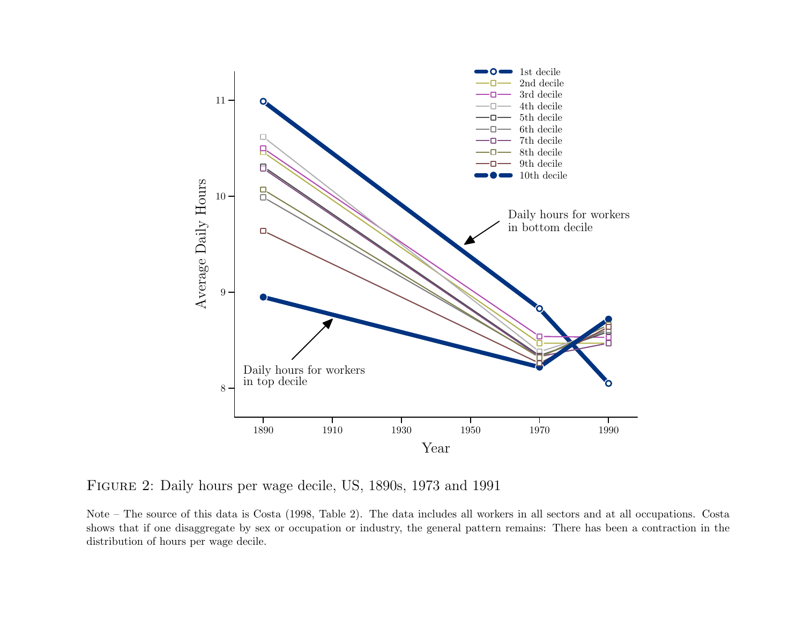

Figure <sup>2</sup>: Daily hours per wage decile, US, 1890s, <sup>1973</sup> and <sup>1991</sup>

Note – The source of this data is Costa (1998, Table 2). The data includes all workers in all sectors and at all occupations. Costa shows that if one disaggregate by sex or occupation or industry, the genera<sup>l</sup> pattern remains: There has been <sup>a</sup> contraction in thedistribution of hours per wage decile.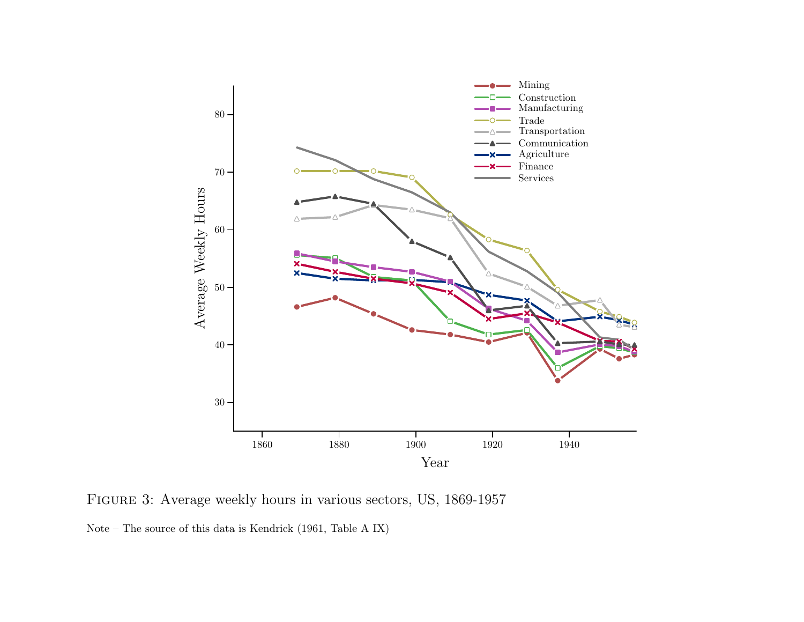

Figure <sup>3</sup>: Average weekly hours in various sectors, US, 1869-1957

Note – The source of this data is Kendrick (1961, Table <sup>A</sup> IX)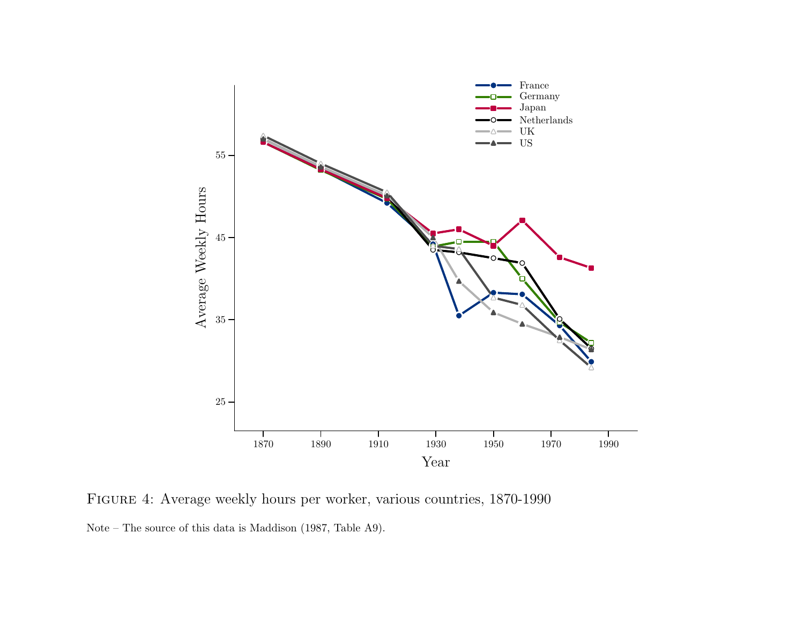

Figure <sup>4</sup>: Average weekly hours per worker, various countries, 1870-1990Note – The source of this data is Maddison (1987, Table A9).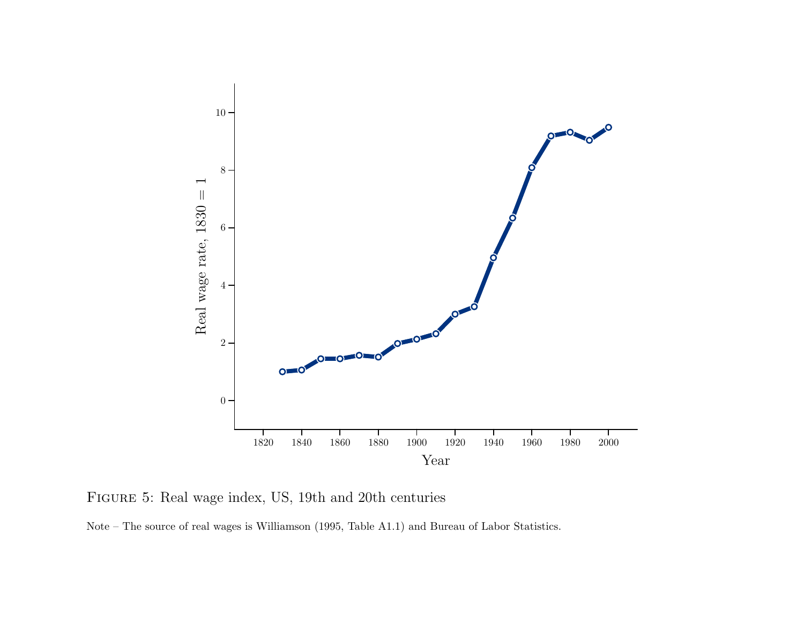

Figure <sup>5</sup>: Real wage index, US, 19th and 20th centuries

Note – The source of real wages is Williamson (1995, Table A1.1) and Bureau of Labor Statistics.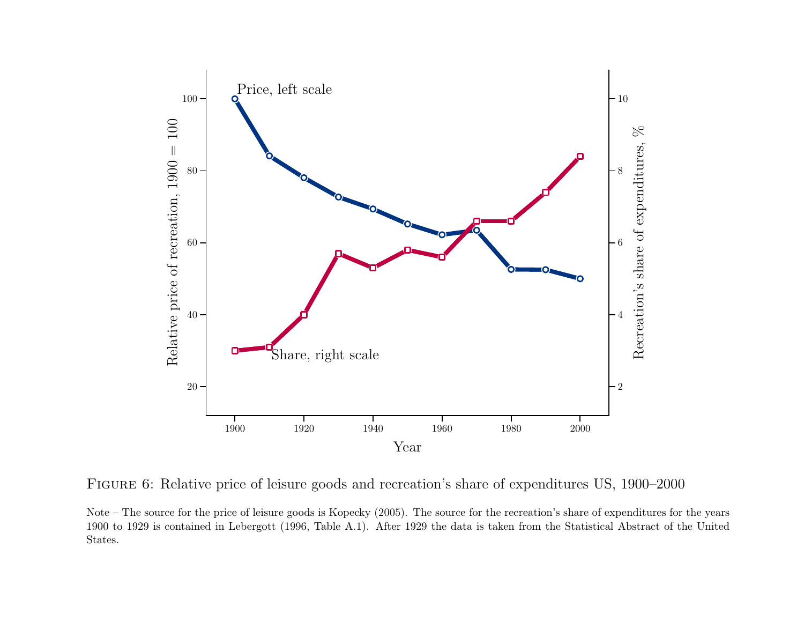

Figure <sup>6</sup>: Relative price of leisure goods and recreation's share of expenditures US, 1900–2000

Note – The source for the price of leisure goods is Kopecky (2005). The source for the recreation's share of expenditures for the years <sup>1900</sup> to <sup>1929</sup> is contained in Lebergott (1996, Table A.1). After <sup>1929</sup> the data is taken from the Statistical Abstract of the UnitedStates.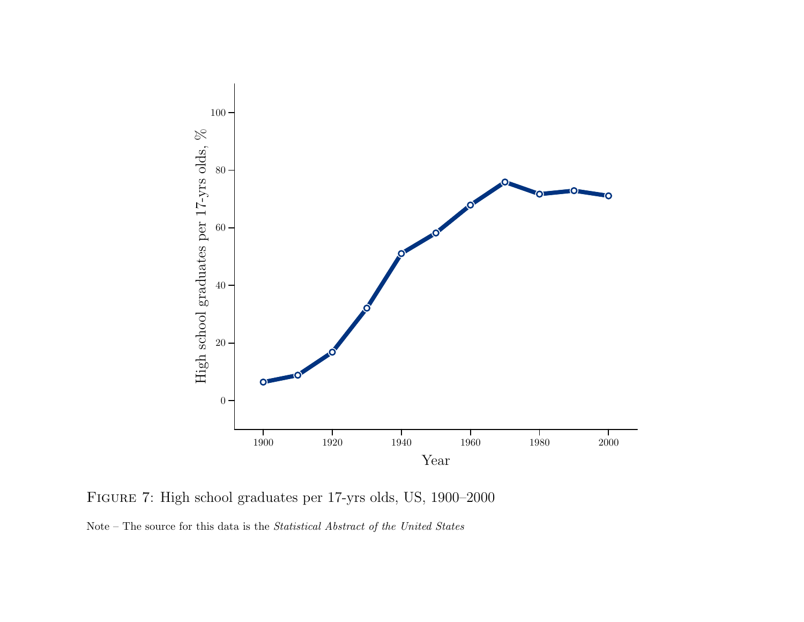

Figure <sup>7</sup>: High school graduates per 17-yrs olds, US, 1900–2000

Note – The source for this data is the *Statistical Abstract of the United States*